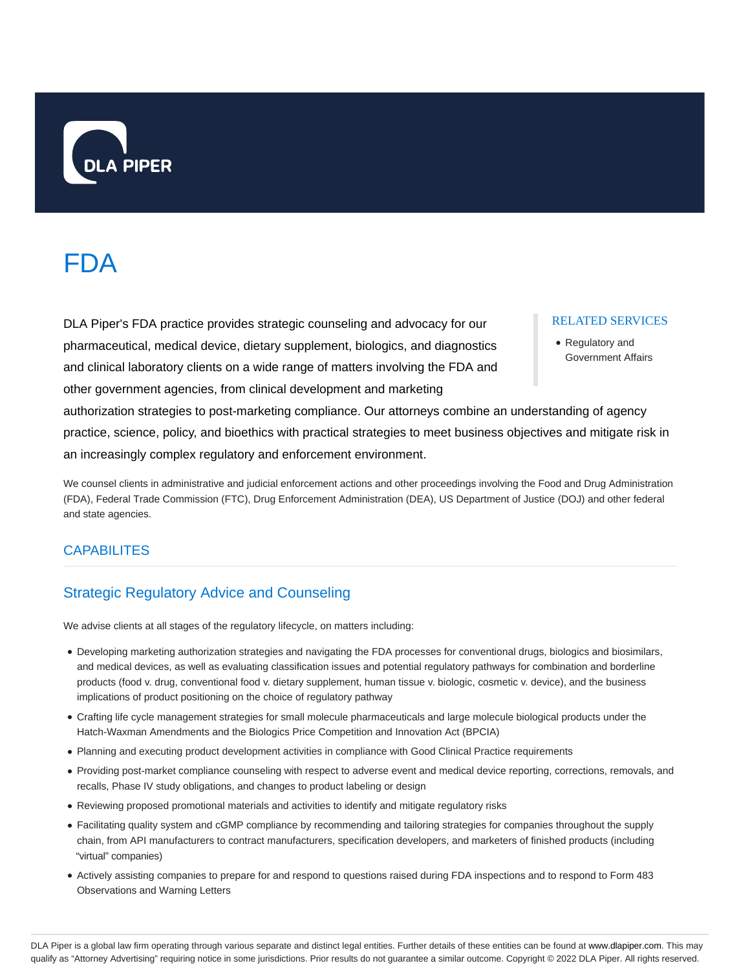

# FDA

DLA Piper's FDA practice provides strategic counseling and advocacy for our pharmaceutical, medical device, dietary supplement, biologics, and diagnostics and clinical laboratory clients on a wide range of matters involving the FDA and other government agencies, from clinical development and marketing

#### RELATED SERVICES

Regulatory and Government Affairs

authorization strategies to post-marketing compliance. Our attorneys combine an understanding of agency practice, science, policy, and bioethics with practical strategies to meet business objectives and mitigate risk in an increasingly complex regulatory and enforcement environment.

We counsel clients in administrative and judicial enforcement actions and other proceedings involving the Food and Drug Administration (FDA), Federal Trade Commission (FTC), Drug Enforcement Administration (DEA), US Department of Justice (DOJ) and other federal and state agencies.

# **CAPABILITES**

# Strategic Regulatory Advice and Counseling

We advise clients at all stages of the regulatory lifecycle, on matters including:

- Developing marketing authorization strategies and navigating the FDA processes for conventional drugs, biologics and biosimilars, and medical devices, as well as evaluating classification issues and potential regulatory pathways for combination and borderline products (food v. drug, conventional food v. dietary supplement, human tissue v. biologic, cosmetic v. device), and the business implications of product positioning on the choice of regulatory pathway
- Crafting life cycle management strategies for small molecule pharmaceuticals and large molecule biological products under the Hatch-Waxman Amendments and the Biologics Price Competition and Innovation Act (BPCIA)
- Planning and executing product development activities in compliance with Good Clinical Practice requirements
- Providing post-market compliance counseling with respect to adverse event and medical device reporting, corrections, removals, and recalls, Phase IV study obligations, and changes to product labeling or design
- Reviewing proposed promotional materials and activities to identify and mitigate regulatory risks
- Facilitating quality system and cGMP compliance by recommending and tailoring strategies for companies throughout the supply chain, from API manufacturers to contract manufacturers, specification developers, and marketers of finished products (including "virtual" companies)
- Actively assisting companies to prepare for and respond to questions raised during FDA inspections and to respond to Form 483 Observations and Warning Letters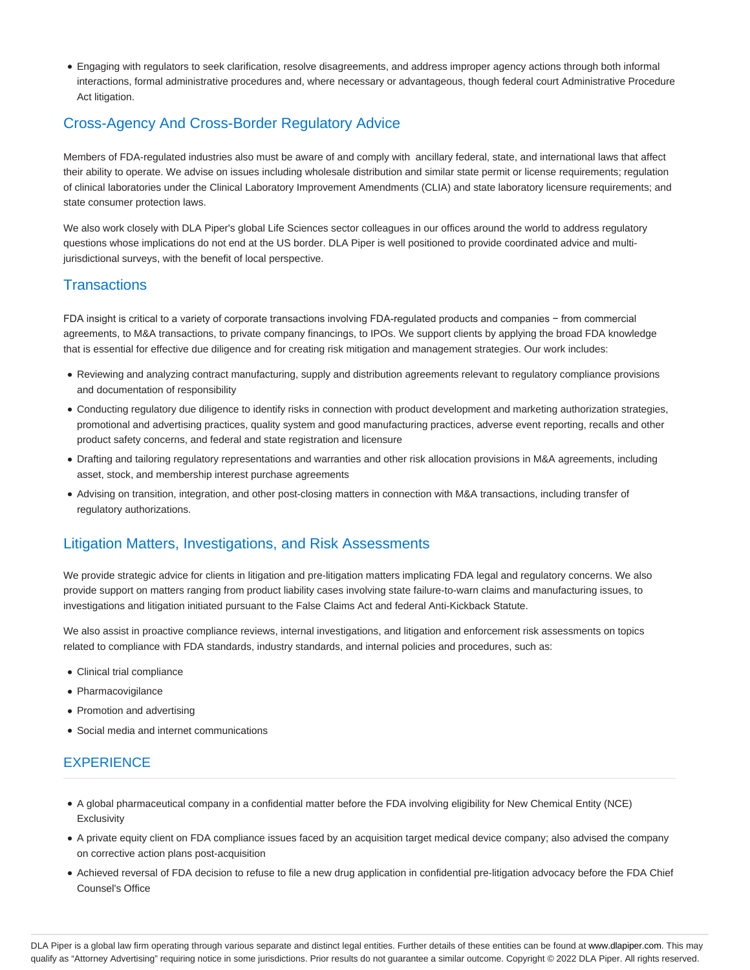Engaging with regulators to seek clarification, resolve disagreements, and address improper agency actions through both informal interactions, formal administrative procedures and, where necessary or advantageous, though federal court Administrative Procedure Act litigation.

# Cross-Agency And Cross-Border Regulatory Advice

Members of FDA-regulated industries also must be aware of and comply with ancillary federal, state, and international laws that affect their ability to operate. We advise on issues including wholesale distribution and similar state permit or license requirements; regulation of clinical laboratories under the Clinical Laboratory Improvement Amendments (CLIA) and state laboratory licensure requirements; and state consumer protection laws.

We also work closely with DLA Piper's global Life Sciences sector colleagues in our offices around the world to address regulatory questions whose implications do not end at the US border. DLA Piper is well positioned to provide coordinated advice and multijurisdictional surveys, with the benefit of local perspective.

# **Transactions**

FDA insight is critical to a variety of corporate transactions involving FDA-regulated products and companies − from commercial agreements, to M&A transactions, to private company financings, to IPOs. We support clients by applying the broad FDA knowledge that is essential for effective due diligence and for creating risk mitigation and management strategies. Our work includes:

- Reviewing and analyzing contract manufacturing, supply and distribution agreements relevant to regulatory compliance provisions and documentation of responsibility
- Conducting regulatory due diligence to identify risks in connection with product development and marketing authorization strategies, promotional and advertising practices, quality system and good manufacturing practices, adverse event reporting, recalls and other product safety concerns, and federal and state registration and licensure
- Drafting and tailoring regulatory representations and warranties and other risk allocation provisions in M&A agreements, including asset, stock, and membership interest purchase agreements
- Advising on transition, integration, and other post-closing matters in connection with M&A transactions, including transfer of regulatory authorizations.

# Litigation Matters, Investigations, and Risk Assessments

We provide strategic advice for clients in litigation and pre-litigation matters implicating FDA legal and regulatory concerns. We also provide support on matters ranging from product liability cases involving state failure-to-warn claims and manufacturing issues, to investigations and litigation initiated pursuant to the False Claims Act and federal Anti-Kickback Statute.

We also assist in proactive compliance reviews, internal investigations, and litigation and enforcement risk assessments on topics related to compliance with FDA standards, industry standards, and internal policies and procedures, such as:

- Clinical trial compliance
- Pharmacovigilance
- Promotion and advertising
- Social media and internet communications

# **EXPERIENCE**

- A global pharmaceutical company in a confidential matter before the FDA involving eligibility for New Chemical Entity (NCE) **Exclusivity**
- A private equity client on FDA compliance issues faced by an acquisition target medical device company; also advised the company on corrective action plans post-acquisition
- Achieved reversal of FDA decision to refuse to file a new drug application in confidential pre-litigation advocacy before the FDA Chief Counsel's Office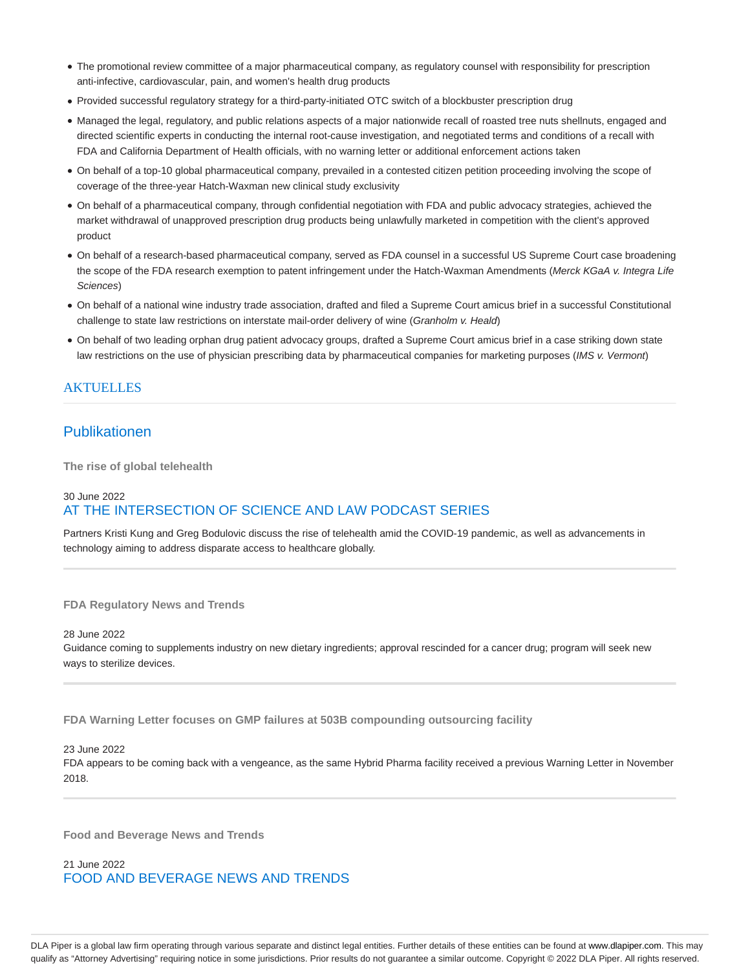- The promotional review committee of a major pharmaceutical company, as regulatory counsel with responsibility for prescription anti-infective, cardiovascular, pain, and women's health drug products
- Provided successful regulatory strategy for a third-party-initiated OTC switch of a blockbuster prescription drug
- Managed the legal, regulatory, and public relations aspects of a major nationwide recall of roasted tree nuts shellnuts, engaged and directed scientific experts in conducting the internal root-cause investigation, and negotiated terms and conditions of a recall with FDA and California Department of Health officials, with no warning letter or additional enforcement actions taken
- On behalf of a top-10 global pharmaceutical company, prevailed in a contested citizen petition proceeding involving the scope of coverage of the three-year Hatch-Waxman new clinical study exclusivity
- On behalf of a pharmaceutical company, through confidential negotiation with FDA and public advocacy strategies, achieved the market withdrawal of unapproved prescription drug products being unlawfully marketed in competition with the client's approved product
- On behalf of a research-based pharmaceutical company, served as FDA counsel in a successful US Supreme Court case broadening the scope of the FDA research exemption to patent infringement under the Hatch-Waxman Amendments (Merck KGaA v. Integra Life Sciences)
- On behalf of a national wine industry trade association, drafted and filed a Supreme Court amicus brief in a successful Constitutional challenge to state law restrictions on interstate mail-order delivery of wine (Granholm v. Heald)
- On behalf of two leading orphan drug patient advocacy groups, drafted a Supreme Court amicus brief in a case striking down state law restrictions on the use of physician prescribing data by pharmaceutical companies for marketing purposes (IMS v. Vermont)

#### AKTUELLES

# Publikationen

**The rise of global telehealth**

# 30 June 2022 AT THE INTERSECTION OF SCIENCE AND LAW PODCAST SERIES

Partners Kristi Kung and Greg Bodulovic discuss the rise of telehealth amid the COVID-19 pandemic, as well as advancements in technology aiming to address disparate access to healthcare globally.

#### **FDA Regulatory News and Trends**

28 June 2022 Guidance coming to supplements industry on new dietary ingredients; approval rescinded for a cancer drug; program will seek new ways to sterilize devices.

**FDA Warning Letter focuses on GMP failures at 503B compounding outsourcing facility**

#### 23 June 2022

FDA appears to be coming back with a vengeance, as the same Hybrid Pharma facility received a previous Warning Letter in November 2018.

**Food and Beverage News and Trends**

21 June 2022 FOOD AND BEVERAGE NEWS AND TRENDS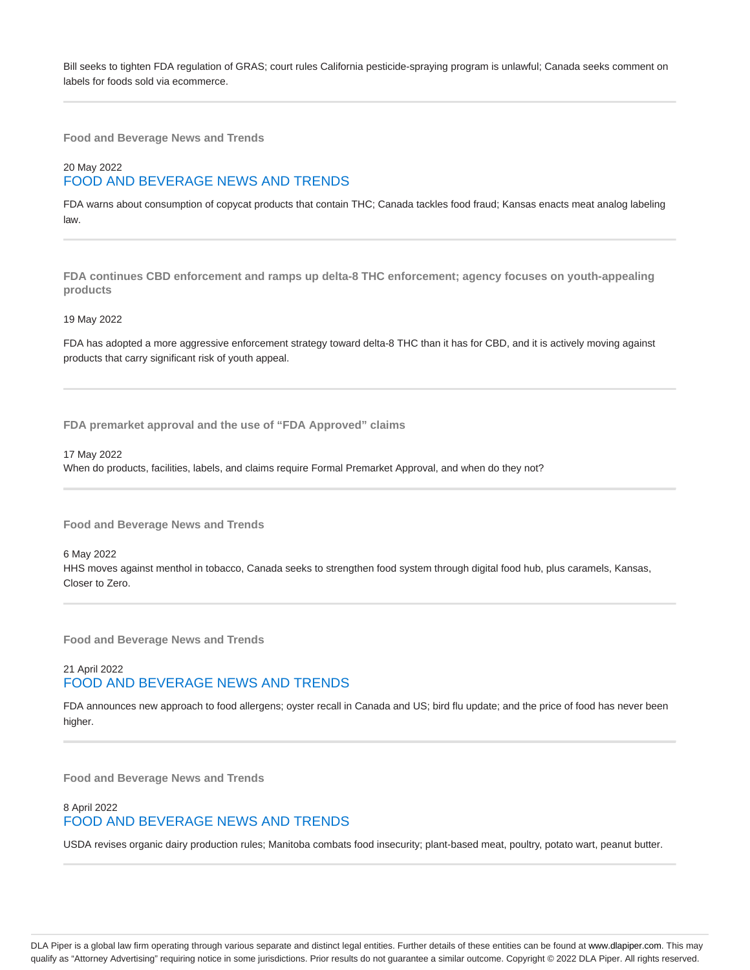Bill seeks to tighten FDA regulation of GRAS; court rules California pesticide-spraying program is unlawful; Canada seeks comment on labels for foods sold via ecommerce.

**Food and Beverage News and Trends**

# 20 May 2022 FOOD AND BEVERAGE NEWS AND TRENDS

FDA warns about consumption of copycat products that contain THC; Canada tackles food fraud; Kansas enacts meat analog labeling law.

**FDA continues CBD enforcement and ramps up delta-8 THC enforcement; agency focuses on youth-appealing products**

#### 19 May 2022

FDA has adopted a more aggressive enforcement strategy toward delta-8 THC than it has for CBD, and it is actively moving against products that carry significant risk of youth appeal.

**FDA premarket approval and the use of "FDA Approved" claims**

17 May 2022

When do products, facilities, labels, and claims require Formal Premarket Approval, and when do they not?

**Food and Beverage News and Trends**

6 May 2022

HHS moves against menthol in tobacco, Canada seeks to strengthen food system through digital food hub, plus caramels, Kansas, Closer to Zero.

**Food and Beverage News and Trends**

## 21 April 2022 FOOD AND BEVERAGE NEWS AND TRENDS

FDA announces new approach to food allergens; oyster recall in Canada and US; bird flu update; and the price of food has never been higher.

**Food and Beverage News and Trends**

## 8 April 2022 FOOD AND BEVERAGE NEWS AND TRENDS

USDA revises organic dairy production rules; Manitoba combats food insecurity; plant-based meat, poultry, potato wart, peanut butter.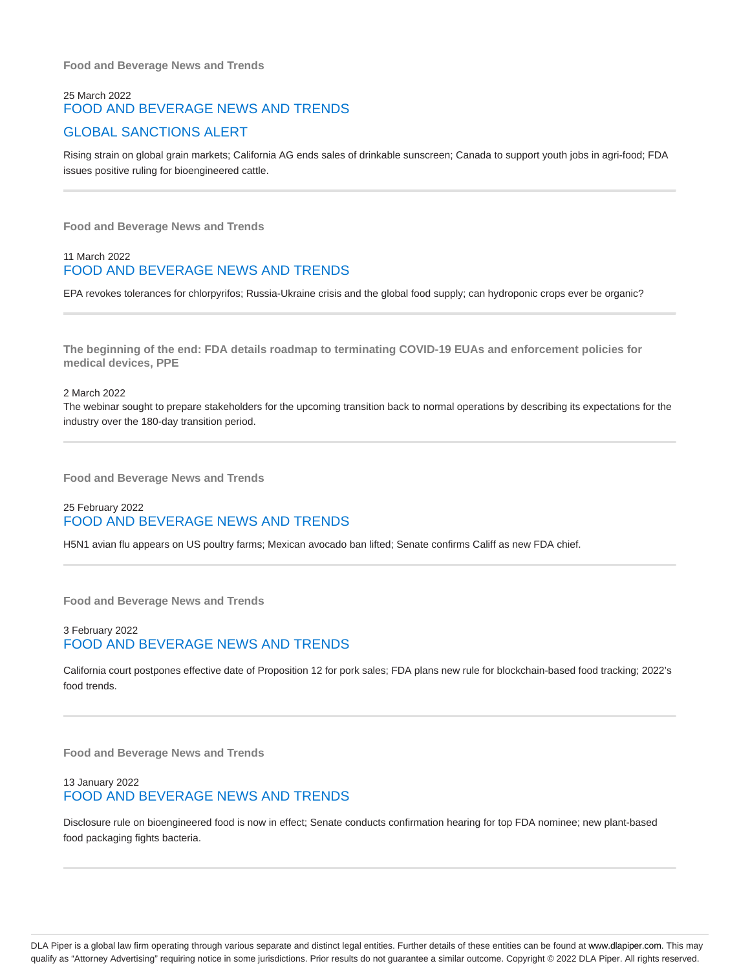**Food and Beverage News and Trends**

# 25 March 2022 FOOD AND BEVERAGE NEWS AND TRENDS GLOBAL SANCTIONS ALERT

Rising strain on global grain markets; California AG ends sales of drinkable sunscreen; Canada to support youth jobs in agri-food; FDA issues positive ruling for bioengineered cattle.

**Food and Beverage News and Trends**

#### 11 March 2022 FOOD AND BEVERAGE NEWS AND TRENDS

EPA revokes tolerances for chlorpyrifos; Russia-Ukraine crisis and the global food supply; can hydroponic crops ever be organic?

**The beginning of the end: FDA details roadmap to terminating COVID-19 EUAs and enforcement policies for medical devices, PPE**

#### 2 March 2022

The webinar sought to prepare stakeholders for the upcoming transition back to normal operations by describing its expectations for the industry over the 180-day transition period.

**Food and Beverage News and Trends**

# 25 February 2022 FOOD AND BEVERAGE NEWS AND TRENDS

H5N1 avian flu appears on US poultry farms; Mexican avocado ban lifted; Senate confirms Califf as new FDA chief.

**Food and Beverage News and Trends**

#### 3 February 2022 FOOD AND BEVERAGE NEWS AND TRENDS

California court postpones effective date of Proposition 12 for pork sales; FDA plans new rule for blockchain-based food tracking; 2022's food trends.

**Food and Beverage News and Trends**

#### 13 January 2022 FOOD AND BEVERAGE NEWS AND TRENDS

Disclosure rule on bioengineered food is now in effect; Senate conducts confirmation hearing for top FDA nominee; new plant-based food packaging fights bacteria.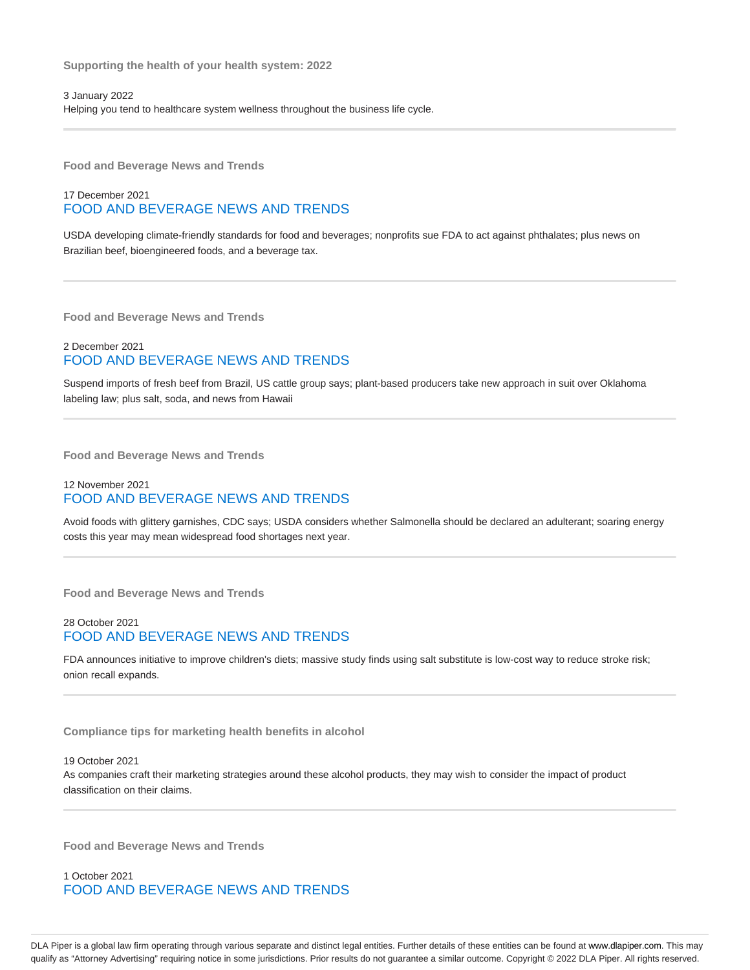3 January 2022 Helping you tend to healthcare system wellness throughout the business life cycle.

**Food and Beverage News and Trends**

#### 17 December 2021 FOOD AND BEVERAGE NEWS AND TRENDS

USDA developing climate-friendly standards for food and beverages; nonprofits sue FDA to act against phthalates; plus news on Brazilian beef, bioengineered foods, and a beverage tax.

**Food and Beverage News and Trends**

#### 2 December 2021 FOOD AND BEVERAGE NEWS AND TRENDS

Suspend imports of fresh beef from Brazil, US cattle group says; plant-based producers take new approach in suit over Oklahoma labeling law; plus salt, soda, and news from Hawaii

**Food and Beverage News and Trends**

## 12 November 2021 FOOD AND BEVERAGE NEWS AND TRENDS

Avoid foods with glittery garnishes, CDC says; USDA considers whether Salmonella should be declared an adulterant; soaring energy costs this year may mean widespread food shortages next year.

**Food and Beverage News and Trends**

#### 28 October 2021 FOOD AND BEVERAGE NEWS AND TRENDS

FDA announces initiative to improve children's diets; massive study finds using salt substitute is low-cost way to reduce stroke risk; onion recall expands.

**Compliance tips for marketing health benefits in alcohol**

#### 19 October 2021

As companies craft their marketing strategies around these alcohol products, they may wish to consider the impact of product classification on their claims.

**Food and Beverage News and Trends**

1 October 2021 FOOD AND BEVERAGE NEWS AND TRENDS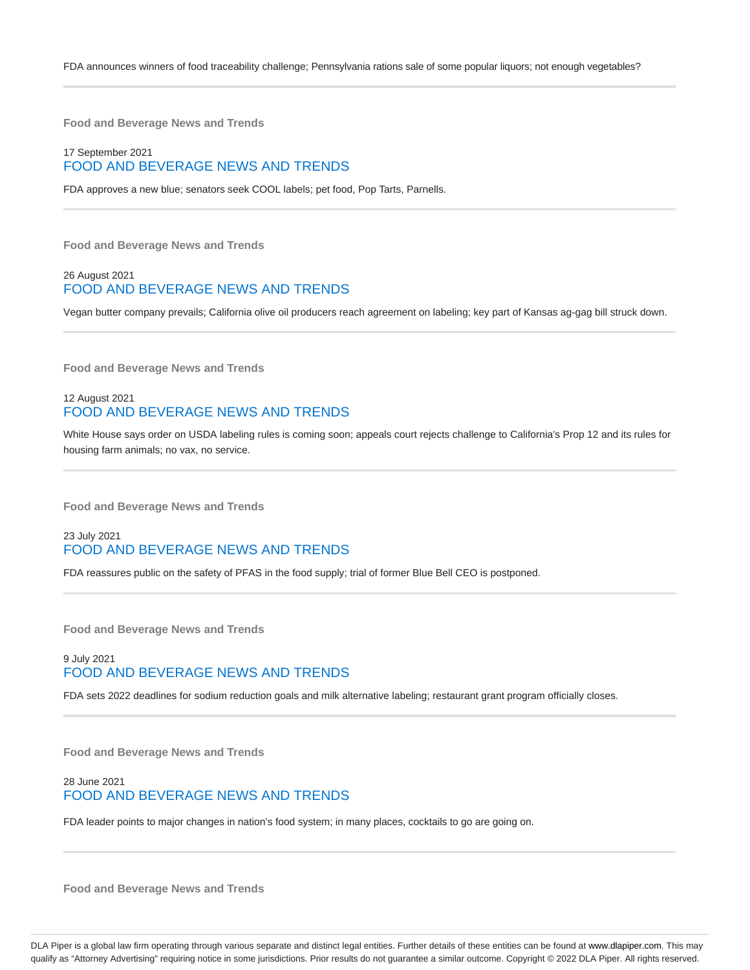**Food and Beverage News and Trends**

#### 17 September 2021 FOOD AND BEVERAGE NEWS AND TRENDS

FDA approves a new blue; senators seek COOL labels; pet food, Pop Tarts, Parnells.

**Food and Beverage News and Trends**

#### 26 August 2021 FOOD AND BEVERAGE NEWS AND TRENDS

Vegan butter company prevails; California olive oil producers reach agreement on labeling; key part of Kansas ag-gag bill struck down.

**Food and Beverage News and Trends**

#### 12 August 2021 FOOD AND BEVERAGE NEWS AND TRENDS

White House says order on USDA labeling rules is coming soon; appeals court rejects challenge to California's Prop 12 and its rules for housing farm animals; no vax, no service.

**Food and Beverage News and Trends**

#### 23 July 2021 FOOD AND BEVERAGE NEWS AND TRENDS

FDA reassures public on the safety of PFAS in the food supply; trial of former Blue Bell CEO is postponed.

**Food and Beverage News and Trends**

#### 9 July 2021 FOOD AND BEVERAGE NEWS AND TRENDS

FDA sets 2022 deadlines for sodium reduction goals and milk alternative labeling; restaurant grant program officially closes.

**Food and Beverage News and Trends**

#### 28 June 2021 FOOD AND BEVERAGE NEWS AND TRENDS

FDA leader points to major changes in nation's food system; in many places, cocktails to go are going on.

**Food and Beverage News and Trends**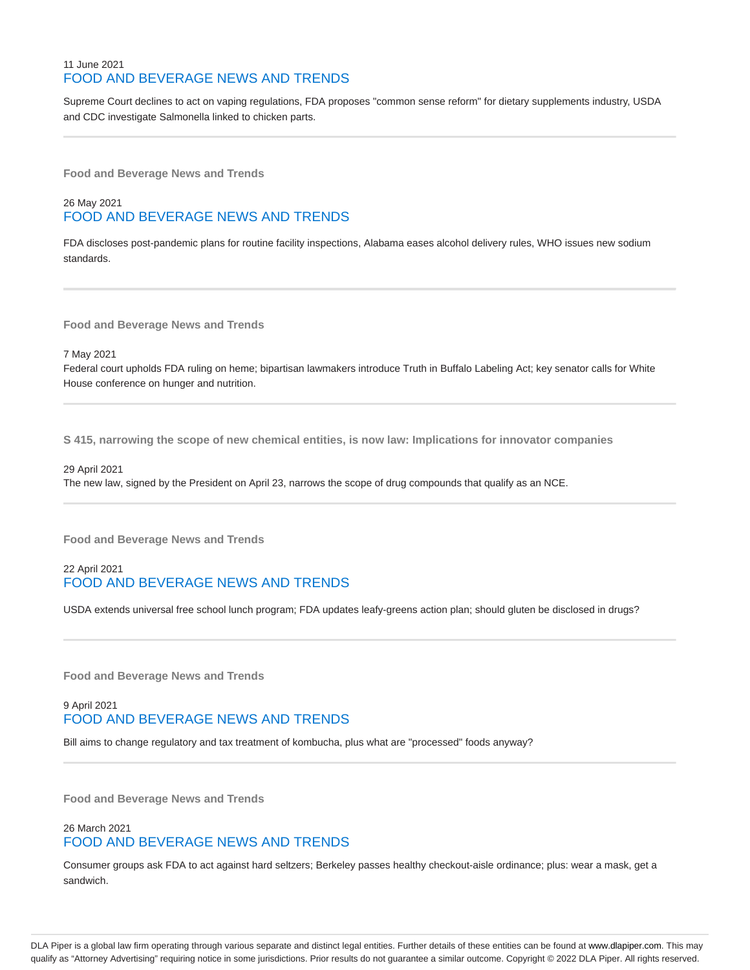#### 11 June 2021 FOOD AND BEVERAGE NEWS AND TRENDS

Supreme Court declines to act on vaping regulations, FDA proposes "common sense reform" for dietary supplements industry, USDA and CDC investigate Salmonella linked to chicken parts.

**Food and Beverage News and Trends**

# 26 May 2021 FOOD AND BEVERAGE NEWS AND TRENDS

FDA discloses post-pandemic plans for routine facility inspections, Alabama eases alcohol delivery rules, WHO issues new sodium standards.

**Food and Beverage News and Trends**

7 May 2021

Federal court upholds FDA ruling on heme; bipartisan lawmakers introduce Truth in Buffalo Labeling Act; key senator calls for White House conference on hunger and nutrition.

**S 415, narrowing the scope of new chemical entities, is now law: Implications for innovator companies**

29 April 2021 The new law, signed by the President on April 23, narrows the scope of drug compounds that qualify as an NCE.

**Food and Beverage News and Trends**

## 22 April 2021 FOOD AND BEVERAGE NEWS AND TRENDS

USDA extends universal free school lunch program; FDA updates leafy-greens action plan; should gluten be disclosed in drugs?

**Food and Beverage News and Trends**

## 9 April 2021 FOOD AND BEVERAGE NEWS AND TRENDS

Bill aims to change regulatory and tax treatment of kombucha, plus what are "processed" foods anyway?

**Food and Beverage News and Trends**

## 26 March 2021 FOOD AND BEVERAGE NEWS AND TRENDS

Consumer groups ask FDA to act against hard seltzers; Berkeley passes healthy checkout-aisle ordinance; plus: wear a mask, get a sandwich.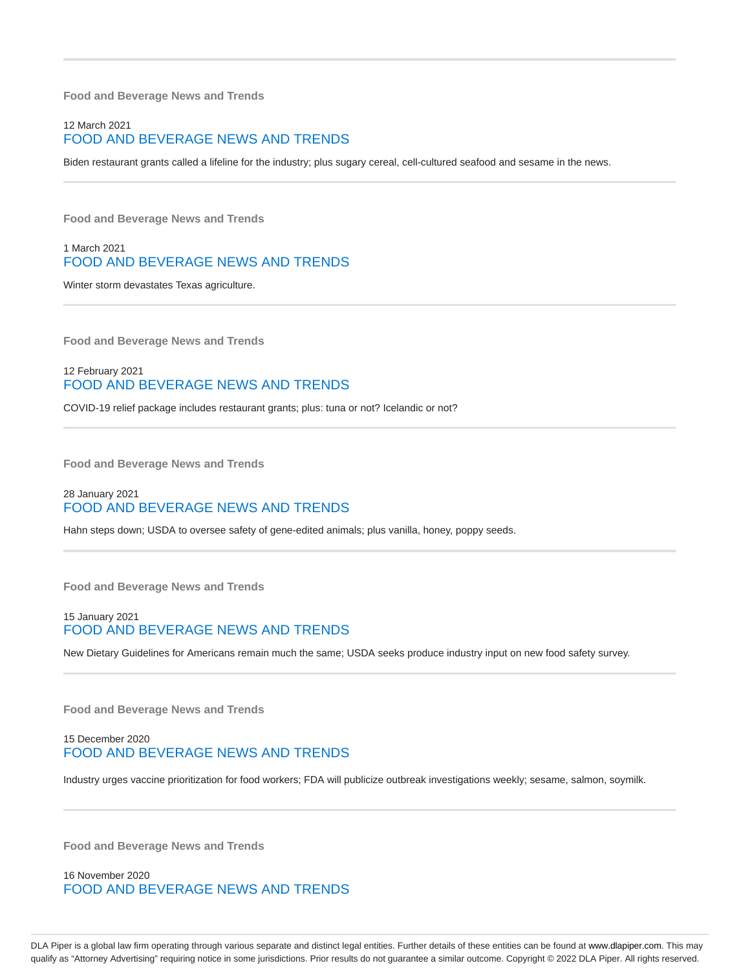**Food and Beverage News and Trends**

#### 12 March 2021 FOOD AND BEVERAGE NEWS AND TRENDS

Biden restaurant grants called a lifeline for the industry; plus sugary cereal, cell-cultured seafood and sesame in the news.

**Food and Beverage News and Trends**

#### 1 March 2021 FOOD AND BEVERAGE NEWS AND TRENDS

Winter storm devastates Texas agriculture.

**Food and Beverage News and Trends**

#### 12 February 2021 FOOD AND BEVERAGE NEWS AND TRENDS

COVID-19 relief package includes restaurant grants; plus: tuna or not? Icelandic or not?

**Food and Beverage News and Trends**

## 28 January 2021 FOOD AND BEVERAGE NEWS AND TRENDS

Hahn steps down; USDA to oversee safety of gene-edited animals; plus vanilla, honey, poppy seeds.

**Food and Beverage News and Trends**

#### 15 January 2021 FOOD AND BEVERAGE NEWS AND TRENDS

New Dietary Guidelines for Americans remain much the same; USDA seeks produce industry input on new food safety survey.

**Food and Beverage News and Trends**

#### 15 December 2020 FOOD AND BEVERAGE NEWS AND TRENDS

Industry urges vaccine prioritization for food workers; FDA will publicize outbreak investigations weekly; sesame, salmon, soymilk.

**Food and Beverage News and Trends**

16 November 2020 FOOD AND BEVERAGE NEWS AND TRENDS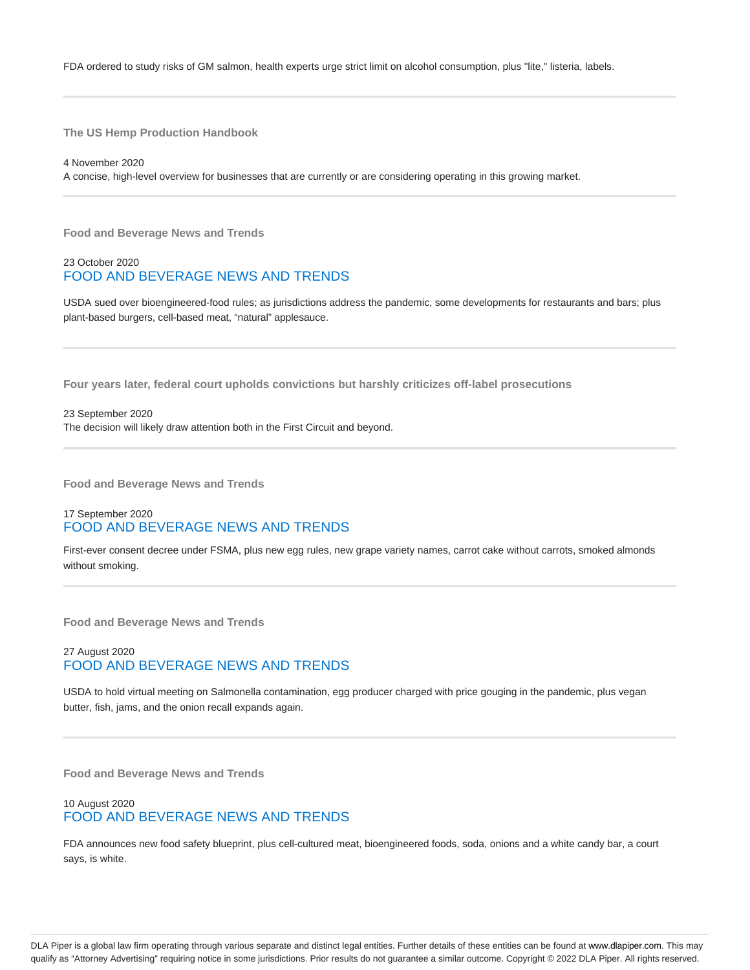FDA ordered to study risks of GM salmon, health experts urge strict limit on alcohol consumption, plus "lite," listeria, labels.

**The US Hemp Production Handbook**

4 November 2020 A concise, high-level overview for businesses that are currently or are considering operating in this growing market.

**Food and Beverage News and Trends**

## 23 October 2020 FOOD AND BEVERAGE NEWS AND TRENDS

USDA sued over bioengineered-food rules; as jurisdictions address the pandemic, some developments for restaurants and bars; plus plant-based burgers, cell-based meat, "natural" applesauce.

**Four years later, federal court upholds convictions but harshly criticizes off-label prosecutions**

23 September 2020 The decision will likely draw attention both in the First Circuit and beyond.

**Food and Beverage News and Trends**

#### 17 September 2020 FOOD AND BEVERAGE NEWS AND TRENDS

First-ever consent decree under FSMA, plus new egg rules, new grape variety names, carrot cake without carrots, smoked almonds without smoking.

**Food and Beverage News and Trends**

#### 27 August 2020 FOOD AND BEVERAGE NEWS AND TRENDS

USDA to hold virtual meeting on Salmonella contamination, egg producer charged with price gouging in the pandemic, plus vegan butter, fish, jams, and the onion recall expands again.

**Food and Beverage News and Trends**

#### 10 August 2020 FOOD AND BEVERAGE NEWS AND TRENDS

FDA announces new food safety blueprint, plus cell-cultured meat, bioengineered foods, soda, onions and a white candy bar, a court says, is white.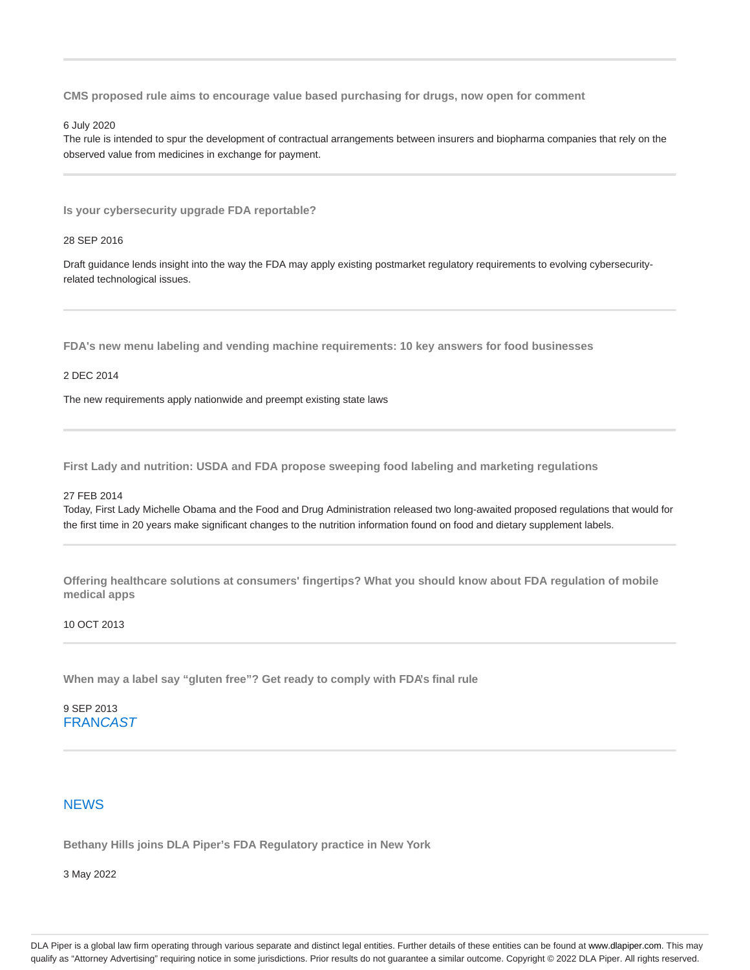**CMS proposed rule aims to encourage value based purchasing for drugs, now open for comment**

6 July 2020

The rule is intended to spur the development of contractual arrangements between insurers and biopharma companies that rely on the observed value from medicines in exchange for payment.

**Is your cybersecurity upgrade FDA reportable?**

28 SEP 2016

Draft guidance lends insight into the way the FDA may apply existing postmarket regulatory requirements to evolving cybersecurityrelated technological issues.

**FDA's new menu labeling and vending machine requirements: 10 key answers for food businesses**

#### 2 DEC 2014

The new requirements apply nationwide and preempt existing state laws

**First Lady and nutrition: USDA and FDA propose sweeping food labeling and marketing regulations**

#### 27 FEB 2014

Today, First Lady Michelle Obama and the Food and Drug Administration released two long-awaited proposed regulations that would for the first time in 20 years make significant changes to the nutrition information found on food and dietary supplement labels.

**Offering healthcare solutions at consumers' fingertips? What you should know about FDA regulation of mobile medical apps**

#### 10 OCT 2013

**When may a label say "gluten free"? Get ready to comply with FDA's final rule**

9 SEP 2013 **FRANCAST** 

#### **NEWS**

**Bethany Hills joins DLA Piper's FDA Regulatory practice in New York**

3 May 2022